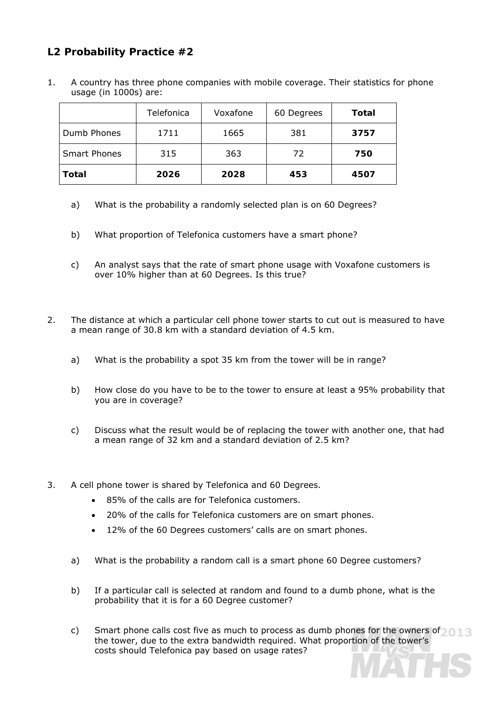## **L2 Probability Practice #2**

1. A country has three phone companies with mobile coverage. Their statistics for phone usage (in 1000s) are:

|                     | Telefonica | Voxafone | 60 Degrees | Total |
|---------------------|------------|----------|------------|-------|
| Dumb Phones         | 1711       | 1665     | 381        | 3757  |
| <b>Smart Phones</b> | 315        | 363      | 72         | 750   |
| Total               | 2026       | 2028     | 453        | 4507  |

- a) What is the probability a randomly selected plan is on 60 Degrees?
- b) What proportion of Telefonica customers have a smart phone?
- c) An analyst says that the rate of smart phone usage with Voxafone customers is over 10% higher than at 60 Degrees. Is this true?
- 2. The distance at which a particular cell phone tower starts to cut out is measured to have a mean range of 30.8 km with a standard deviation of 4.5 km.
	- a) What is the probability a spot 35 km from the tower will be in range?
	- b) How close do you have to be to the tower to ensure at least a 95% probability that you are in coverage?
	- c) Discuss what the result would be of replacing the tower with another one, that had a mean range of 32 km and a standard deviation of 2.5 km?
- 3. A cell phone tower is shared by Telefonica and 60 Degrees.
	- 85% of the calls are for Telefonica customers.
	- 20% of the calls for Telefonica customers are on smart phones.
	- 12% of the 60 Degrees customers' calls are on smart phones.
	- a) What is the probability a random call is a smart phone 60 Degree customers?
	- b) If a particular call is selected at random and found to a dumb phone, what is the probability that it is for a 60 Degree customer?
	- c) Smart phone calls cost five as much to process as dumb phones for the owners of the tower, due to the extra bandwidth required. What proportion of the tower's costs should Telefonica pay based on usage rates?